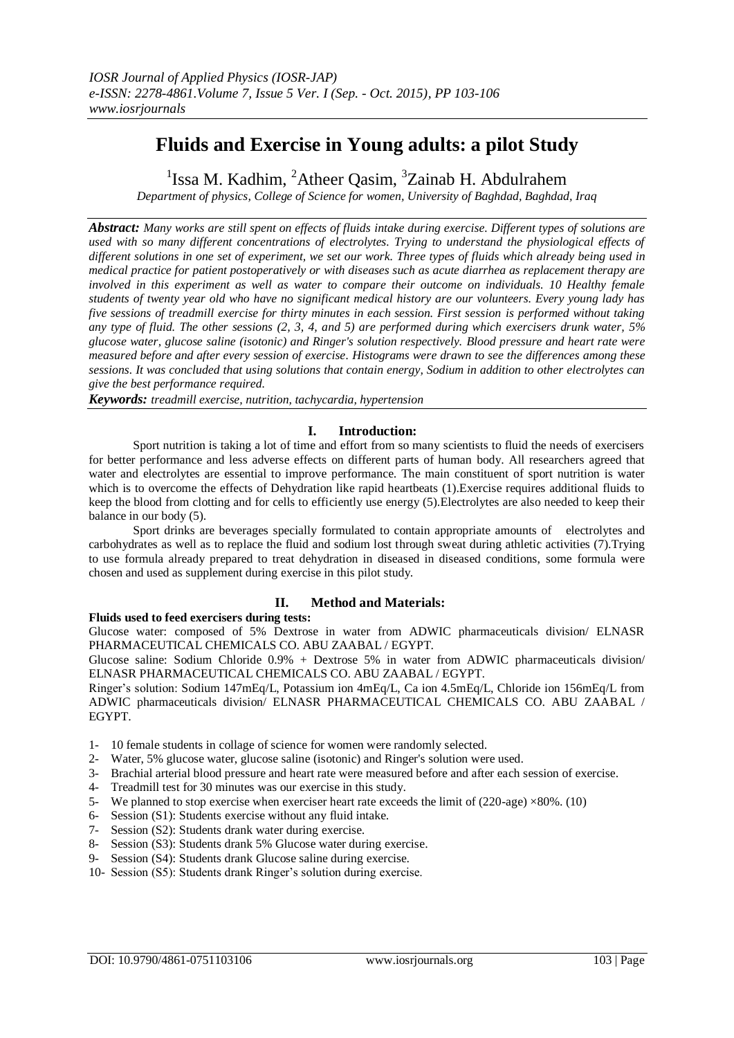# **Fluids and Exercise in Young adults: a pilot Study**

<sup>1</sup>Issa M. Kadhim, <sup>2</sup>Atheer Qasim, <sup>3</sup>Zainab H. Abdulrahem

*Department of physics, College of Science for women, University of Baghdad, Baghdad, Iraq*

*Abstract: Many works are still spent on effects of fluids intake during exercise. Different types of solutions are used with so many different concentrations of electrolytes. Trying to understand the physiological effects of different solutions in one set of experiment, we set our work. Three types of fluids which already being used in medical practice for patient postoperatively or with diseases such as acute diarrhea as replacement therapy are*  involved in this experiment as well as water to compare their outcome on individuals. 10 Healthy female *students of twenty year old who have no significant medical history are our volunteers. Every young lady has five sessions of treadmill exercise for thirty minutes in each session. First session is performed without taking any type of fluid. The other sessions (2, 3, 4, and 5) are performed during which exercisers drunk water, 5% glucose water, glucose saline (isotonic) and Ringer's solution respectively. Blood pressure and heart rate were measured before and after every session of exercise. Histograms were drawn to see the differences among these sessions. It was concluded that using solutions that contain energy, Sodium in addition to other electrolytes can give the best performance required.* 

*Keywords: treadmill exercise, nutrition, tachycardia, hypertension*

## **I. Introduction:**

Sport nutrition is taking a lot of time and effort from so many scientists to fluid the needs of exercisers for better performance and less adverse effects on different parts of human body. All researchers agreed that water and electrolytes are essential to improve performance. The main constituent of sport nutrition is water which is to overcome the effects of Dehydration like rapid heartbeats (1). Exercise requires additional fluids to keep the blood from clotting and for cells to efficiently use energy (5).Electrolytes are also needed to keep their balance in our body (5).

Sport drinks are beverages specially formulated to contain appropriate amounts of electrolytes and carbohydrates as well as to replace the fluid and sodium lost through sweat during athletic activities (7).Trying to use formula already prepared to treat dehydration in diseased in diseased conditions, some formula were chosen and used as supplement during exercise in this pilot study.

# **II. Method and Materials:**

**Fluids used to feed exercisers during tests:**

Glucose water: composed of 5% Dextrose in water from ADWIC pharmaceuticals division/ ELNASR PHARMACEUTICAL CHEMICALS CO. ABU ZAABAL / EGYPT.

Glucose saline: Sodium Chloride 0.9% + Dextrose 5% in water from ADWIC pharmaceuticals division/ ELNASR PHARMACEUTICAL CHEMICALS CO. ABU ZAABAL / EGYPT.

Ringer's solution: Sodium 147mEq/L, Potassium ion 4mEq/L, Ca ion 4.5mEq/L, Chloride ion 156mEq/L from ADWIC pharmaceuticals division/ ELNASR PHARMACEUTICAL CHEMICALS CO. ABU ZAABAL / EGYPT.

- 1- 10 female students in collage of science for women were randomly selected.
- 2- Water, 5% glucose water, glucose saline (isotonic) and Ringer's solution were used.
- 3- Brachial arterial blood pressure and heart rate were measured before and after each session of exercise.
- 4- Treadmill test for 30 minutes was our exercise in this study.
- 5- We planned to stop exercise when exerciser heart rate exceeds the limit of (220-age) ×80%. (10)
- 6- Session (S1): Students exercise without any fluid intake.
- 7- Session (S2): Students drank water during exercise.
- 8- Session (S3): Students drank 5% Glucose water during exercise.
- 9- Session (S4): Students drank Glucose saline during exercise.
- 10- Session (S5): Students drank Ringer's solution during exercise.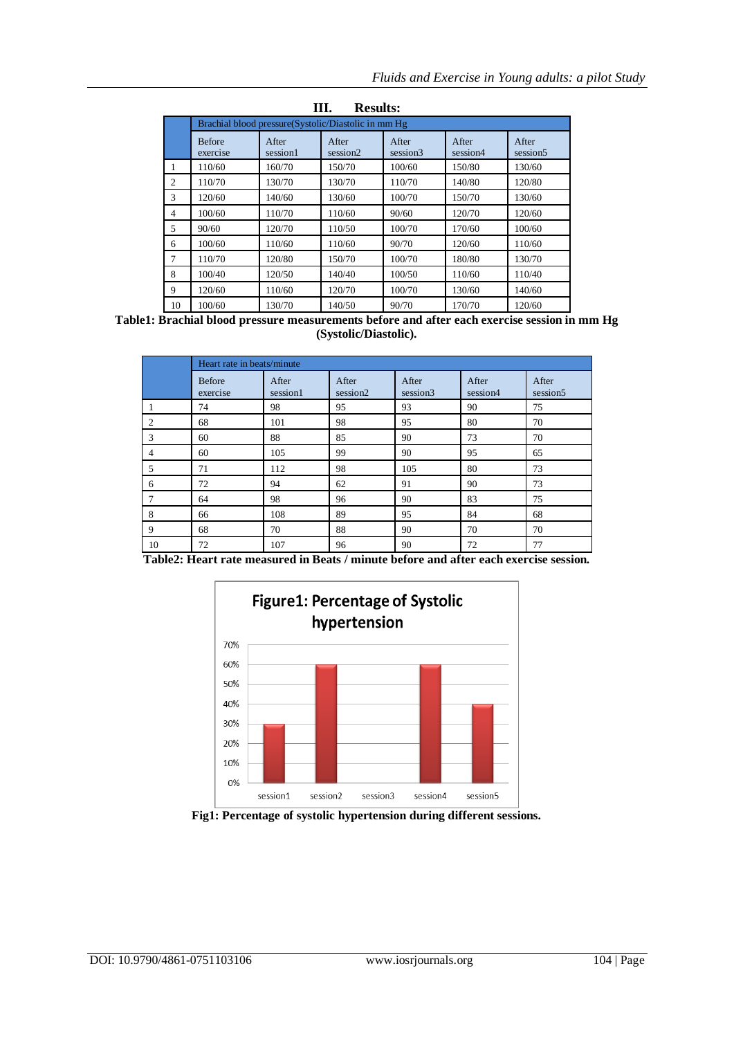| Ш.<br><b>Results:</b> |                                                     |                   |                   |                               |                   |                               |  |  |  |  |  |
|-----------------------|-----------------------------------------------------|-------------------|-------------------|-------------------------------|-------------------|-------------------------------|--|--|--|--|--|
|                       | Brachial blood pressure(Systolic/Diastolic in mm Hg |                   |                   |                               |                   |                               |  |  |  |  |  |
|                       | <b>Before</b><br>exercise                           | After<br>session1 | After<br>session2 | After<br>session <sub>3</sub> | After<br>session4 | After<br>session <sub>5</sub> |  |  |  |  |  |
| 1                     | 110/60                                              | 160/70            | 150/70            | 100/60                        | 150/80            | 130/60                        |  |  |  |  |  |
| 2                     | 110/70                                              | 130/70            | 130/70            | 110/70                        | 140/80            | 120/80                        |  |  |  |  |  |
| 3                     | 120/60                                              | 140/60            | 130/60            | 100/70                        | 150/70            | 130/60                        |  |  |  |  |  |
| 4                     | 100/60                                              | 110/70            | 110/60            | 90/60                         | 120/70            | 120/60                        |  |  |  |  |  |
| 5                     | 90/60                                               | 120/70            | 110/50            | 100/70                        | 170/60            | 100/60                        |  |  |  |  |  |
| 6                     | 100/60                                              | 110/60            | 110/60            | 90/70                         | 120/60            | 110/60                        |  |  |  |  |  |
| 7                     | 110/70                                              | 120/80            | 150/70            | 100/70                        | 180/80            | 130/70                        |  |  |  |  |  |
| 8                     | 100/40                                              | 120/50            | 140/40            | 100/50                        | 110/60            | 110/40                        |  |  |  |  |  |
| 9                     | 120/60                                              | 110/60            | 120/70            | 100/70                        | 130/60            | 140/60                        |  |  |  |  |  |
| 10                    | 100/60                                              | 130/70            | 140/50            | 90/70                         | 170/70            | 120/60                        |  |  |  |  |  |

**Table1: Brachial blood pressure measurements before and after each exercise session in mm Hg (Systolic/Diastolic).**

|                | Heart rate in beats/minute |                   |                               |                   |                   |                               |  |  |  |
|----------------|----------------------------|-------------------|-------------------------------|-------------------|-------------------|-------------------------------|--|--|--|
|                | <b>Before</b><br>exercise  | After<br>session1 | After<br>session <sub>2</sub> | After<br>session3 | After<br>session4 | After<br>session <sub>5</sub> |  |  |  |
|                | 74                         | 98                | 95                            | 93                | 90                | 75                            |  |  |  |
| 2              | 68                         | 101               | 98                            | 95                | 80                | 70                            |  |  |  |
| 3              | 60                         | 88                | 85                            | 90                | 73                | 70                            |  |  |  |
| $\overline{4}$ | 60                         | 105               | 99                            | 90                | 95                | 65                            |  |  |  |
| 5              | 71                         | 112               | 98                            | 105               | 80                | 73                            |  |  |  |
| 6              | 72                         | 94                | 62                            | 91                | 90                | 73                            |  |  |  |
| 7              | 64                         | 98                | 96                            | 90                | 83                | 75                            |  |  |  |
| 8              | 66                         | 108               | 89                            | 95                | 84                | 68                            |  |  |  |
| 9              | 68                         | 70                | 88                            | 90                | 70                | 70                            |  |  |  |
| 10             | 72                         | 107               | 96                            | 90                | 72                | 77                            |  |  |  |

**Table2: Heart rate measured in Beats / minute before and after each exercise session.**



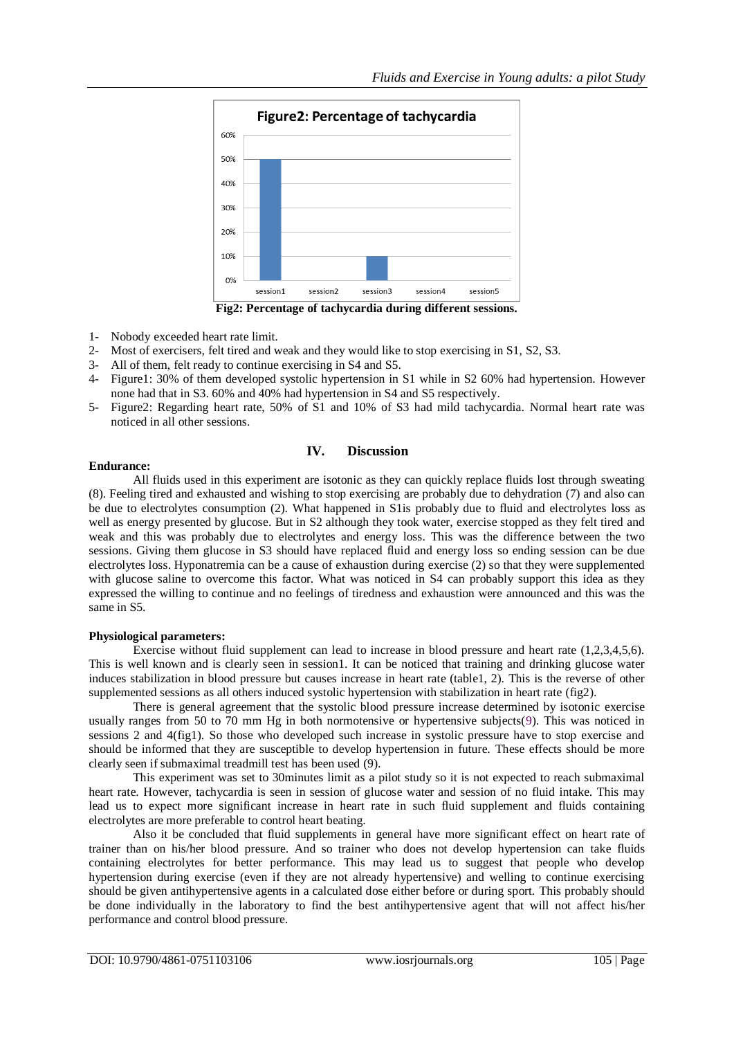

**Fig2: Percentage of tachycardia during different sessions.**

- 1- Nobody exceeded heart rate limit.
- 2- Most of exercisers, felt tired and weak and they would like to stop exercising in S1, S2, S3.
- 3- All of them, felt ready to continue exercising in S4 and S5.
- 4- Figure1: 30% of them developed systolic hypertension in S1 while in S2 60% had hypertension. However none had that in S3. 60% and 40% had hypertension in S4 and S5 respectively.
- 5- Figure2: Regarding heart rate, 50% of S1 and 10% of S3 had mild tachycardia. Normal heart rate was noticed in all other sessions.

## **IV. Discussion**

#### **Endurance:**

 All fluids used in this experiment are isotonic as they can quickly replace fluids lost through sweating (8). Feeling tired and exhausted and wishing to stop exercising are probably due to dehydration (7) and also can be due to electrolytes consumption (2). What happened in S1is probably due to fluid and electrolytes loss as well as energy presented by glucose. But in S2 although they took water, exercise stopped as they felt tired and weak and this was probably due to electrolytes and energy loss. This was the difference between the two sessions. Giving them glucose in S3 should have replaced fluid and energy loss so ending session can be due electrolytes loss. Hyponatremia can be a cause of exhaustion during exercise (2) so that they were supplemented with glucose saline to overcome this factor. What was noticed in S4 can probably support this idea as they expressed the willing to continue and no feelings of tiredness and exhaustion were announced and this was the same in S5.

#### **Physiological parameters:**

Exercise without fluid supplement can lead to increase in blood pressure and heart rate (1,2,3,4,5,6). This is well known and is clearly seen in session1. It can be noticed that training and drinking glucose water induces stabilization in blood pressure but causes increase in heart rate (table1, 2). This is the reverse of other supplemented sessions as all others induced systolic hypertension with stabilization in heart rate (fig2).

There is general agreement that the systolic blood pressure increase determined by isotonic exercise usually ranges from 50 to 70 mm Hg in both normotensive or hypertensive subjects(9). This was noticed in sessions 2 and 4(fig1). So those who developed such increase in systolic pressure have to stop exercise and should be informed that they are susceptible to develop hypertension in future. These effects should be more clearly seen if submaximal treadmill test has been used (9).

This experiment was set to 30minutes limit as a pilot study so it is not expected to reach submaximal heart rate. However, tachycardia is seen in session of glucose water and session of no fluid intake. This may lead us to expect more significant increase in heart rate in such fluid supplement and fluids containing electrolytes are more preferable to control heart beating.

Also it be concluded that fluid supplements in general have more significant effect on heart rate of trainer than on his/her blood pressure. And so trainer who does not develop hypertension can take fluids containing electrolytes for better performance. This may lead us to suggest that people who develop hypertension during exercise (even if they are not already hypertensive) and welling to continue exercising should be given antihypertensive agents in a calculated dose either before or during sport. This probably should be done individually in the laboratory to find the best antihypertensive agent that will not affect his/her performance and control blood pressure.